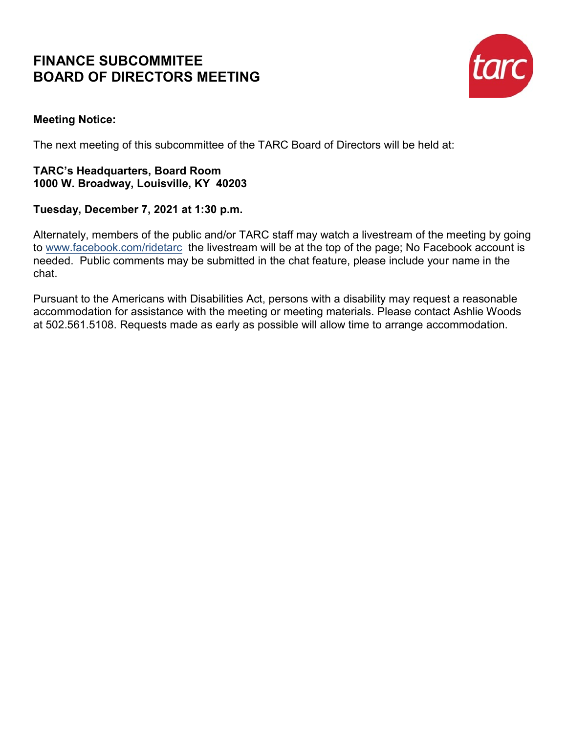### **FINANCE SUBCOMMITEE BOARD OF DIRECTORS MEETING**



### **Meeting Notice:**

The next meeting of this subcommittee of the TARC Board of Directors will be held at:

### **TARC's Headquarters, Board Room 1000 W. Broadway, Louisville, KY 40203**

### **Tuesday, December 7, 2021 at 1:30 p.m.**

Alternately, members of the public and/or TARC staff may watch a livestream of the meeting by going to [www.facebook.com/ridetarc](http://www.facebook.com/ridetarc) the livestream will be at the top of the page; No Facebook account is needed. Public comments may be submitted in the chat feature, please include your name in the chat.

Pursuant to the Americans with Disabilities Act, persons with a disability may request a reasonable accommodation for assistance with the meeting or meeting materials. Please contact Ashlie Woods at 502.561.5108. Requests made as early as possible will allow time to arrange accommodation.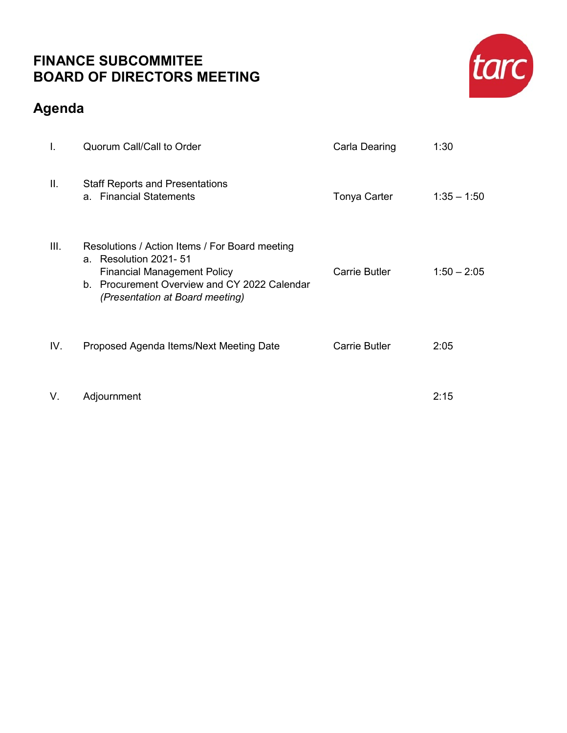### **FINANCE SUBCOMMITEE BOARD OF DIRECTORS MEETING**

## **Agenda**

| Τ.   | <b>Quorum Call/Call to Order</b>                                                                                                                                                                     | Carla Dearing        | 1:30          |
|------|------------------------------------------------------------------------------------------------------------------------------------------------------------------------------------------------------|----------------------|---------------|
| Ш.   | <b>Staff Reports and Presentations</b><br>a. Financial Statements                                                                                                                                    | <b>Tonya Carter</b>  | $1:35 - 1:50$ |
| III. | Resolutions / Action Items / For Board meeting<br>Resolution 2021- 51<br>a.<br><b>Financial Management Policy</b><br>b. Procurement Overview and CY 2022 Calendar<br>(Presentation at Board meeting) | <b>Carrie Butler</b> | $1:50 - 2:05$ |
| IV.  | Proposed Agenda Items/Next Meeting Date                                                                                                                                                              | <b>Carrie Butler</b> | 2:05          |
| V.   | Adjournment                                                                                                                                                                                          |                      | 2:15          |

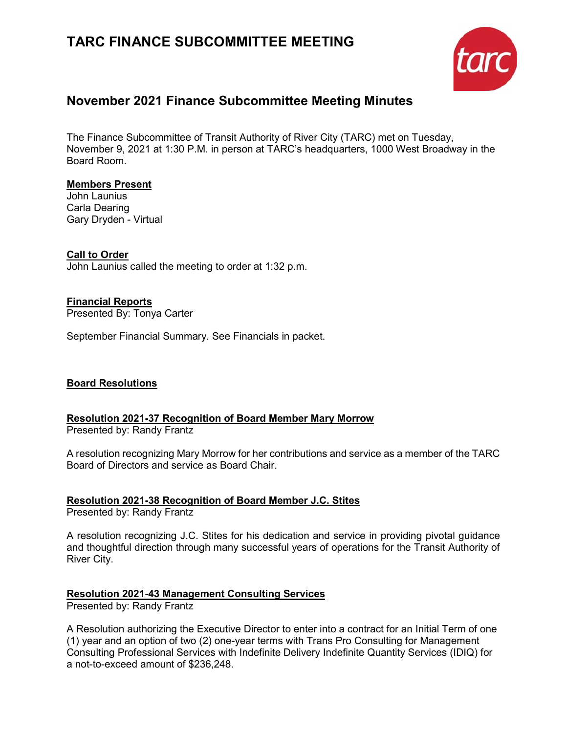### **TARC FINANCE SUBCOMMITTEE MEETING**



### **November 2021 Finance Subcommittee Meeting Minutes**

The Finance Subcommittee of Transit Authority of River City (TARC) met on Tuesday, November 9, 2021 at 1:30 P.M. in person at TARC's headquarters, 1000 West Broadway in the Board Room.

### **Members Present**

John Launius Carla Dearing Gary Dryden - Virtual

### **Call to Order**

John Launius called the meeting to order at 1:32 p.m.

### **Financial Reports**

Presented By: Tonya Carter

September Financial Summary. See Financials in packet.

### **Board Resolutions**

### **Resolution 2021-37 Recognition of Board Member Mary Morrow**

Presented by: Randy Frantz

A resolution recognizing Mary Morrow for her contributions and service as a member of the TARC Board of Directors and service as Board Chair.

### **Resolution 2021-38 Recognition of Board Member J.C. Stites**

Presented by: Randy Frantz

A resolution recognizing J.C. Stites for his dedication and service in providing pivotal guidance and thoughtful direction through many successful years of operations for the Transit Authority of River City.

### **Resolution 2021-43 Management Consulting Services**

Presented by: Randy Frantz

A Resolution authorizing the Executive Director to enter into a contract for an Initial Term of one (1) year and an option of two (2) one-year terms with Trans Pro Consulting for Management Consulting Professional Services with Indefinite Delivery Indefinite Quantity Services (IDIQ) for a not-to-exceed amount of \$236,248.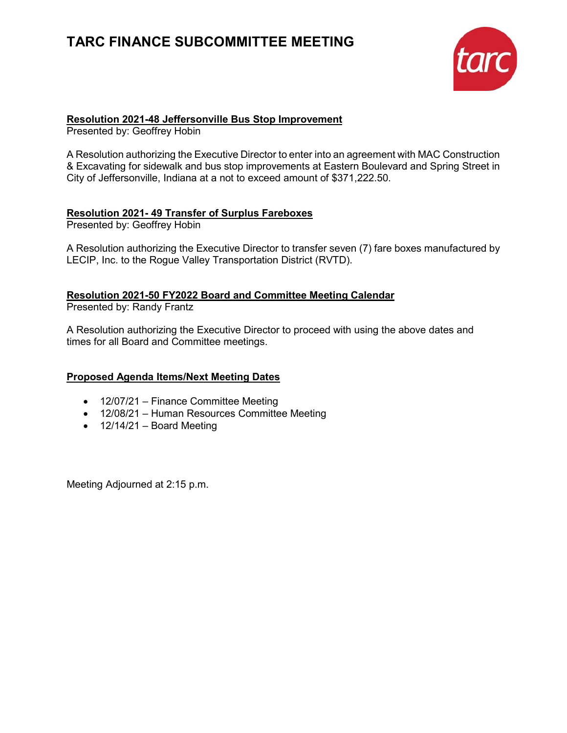### **TARC FINANCE SUBCOMMITTEE MEETING**



### **Resolution 2021-48 Jeffersonville Bus Stop Improvement**

Presented by: Geoffrey Hobin

A Resolution authorizing the Executive Director to enter into an agreement with MAC Construction & Excavating for sidewalk and bus stop improvements at Eastern Boulevard and Spring Street in City of Jeffersonville, Indiana at a not to exceed amount of \$371,222.50.

### **Resolution 2021- 49 Transfer of Surplus Fareboxes**

Presented by: Geoffrey Hobin

A Resolution authorizing the Executive Director to transfer seven (7) fare boxes manufactured by LECIP, Inc. to the Rogue Valley Transportation District (RVTD).

#### **Resolution 2021-50 FY2022 Board and Committee Meeting Calendar** Presented by: Randy Frantz

A Resolution authorizing the Executive Director to proceed with using the above dates and times for all Board and Committee meetings.

### **Proposed Agenda Items/Next Meeting Dates**

- 12/07/21 Finance Committee Meeting
- 12/08/21 Human Resources Committee Meeting
- $\bullet$  12/14/21 Board Meeting

Meeting Adjourned at 2:15 p.m.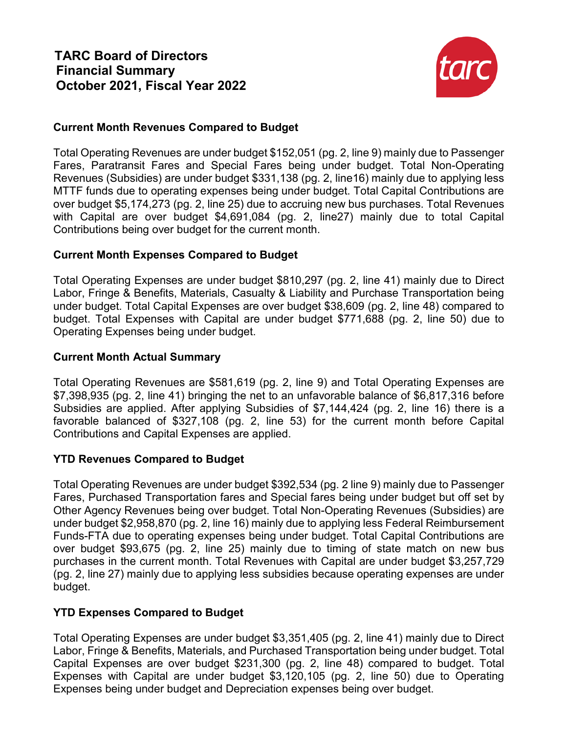

### **Current Month Revenues Compared to Budget**

Total Operating Revenues are under budget \$152,051 (pg. 2, line 9) mainly due to Passenger Fares, Paratransit Fares and Special Fares being under budget. Total Non-Operating Revenues (Subsidies) are under budget \$331,138 (pg. 2, line16) mainly due to applying less MTTF funds due to operating expenses being under budget. Total Capital Contributions are over budget \$5,174,273 (pg. 2, line 25) due to accruing new bus purchases. Total Revenues with Capital are over budget \$4,691,084 (pg. 2, line27) mainly due to total Capital Contributions being over budget for the current month.

### **Current Month Expenses Compared to Budget**

Total Operating Expenses are under budget \$810,297 (pg. 2, line 41) mainly due to Direct Labor, Fringe & Benefits, Materials, Casualty & Liability and Purchase Transportation being under budget. Total Capital Expenses are over budget \$38,609 (pg. 2, line 48) compared to budget. Total Expenses with Capital are under budget \$771,688 (pg. 2, line 50) due to Operating Expenses being under budget.

### **Current Month Actual Summary**

Total Operating Revenues are \$581,619 (pg. 2, line 9) and Total Operating Expenses are \$7,398,935 (pg. 2, line 41) bringing the net to an unfavorable balance of \$6,817,316 before Subsidies are applied. After applying Subsidies of \$7,144,424 (pg. 2, line 16) there is a favorable balanced of \$327,108 (pg. 2, line 53) for the current month before Capital Contributions and Capital Expenses are applied.

### **YTD Revenues Compared to Budget**

Total Operating Revenues are under budget \$392,534 (pg. 2 line 9) mainly due to Passenger Fares, Purchased Transportation fares and Special fares being under budget but off set by Other Agency Revenues being over budget. Total Non-Operating Revenues (Subsidies) are under budget \$2,958,870 (pg. 2, line 16) mainly due to applying less Federal Reimbursement Funds-FTA due to operating expenses being under budget. Total Capital Contributions are over budget \$93,675 (pg. 2, line 25) mainly due to timing of state match on new bus purchases in the current month. Total Revenues with Capital are under budget \$3,257,729 (pg. 2, line 27) mainly due to applying less subsidies because operating expenses are under budget.

### **YTD Expenses Compared to Budget**

Total Operating Expenses are under budget \$3,351,405 (pg. 2, line 41) mainly due to Direct Labor, Fringe & Benefits, Materials, and Purchased Transportation being under budget. Total Capital Expenses are over budget \$231,300 (pg. 2, line 48) compared to budget. Total Expenses with Capital are under budget \$3,120,105 (pg. 2, line 50) due to Operating Expenses being under budget and Depreciation expenses being over budget.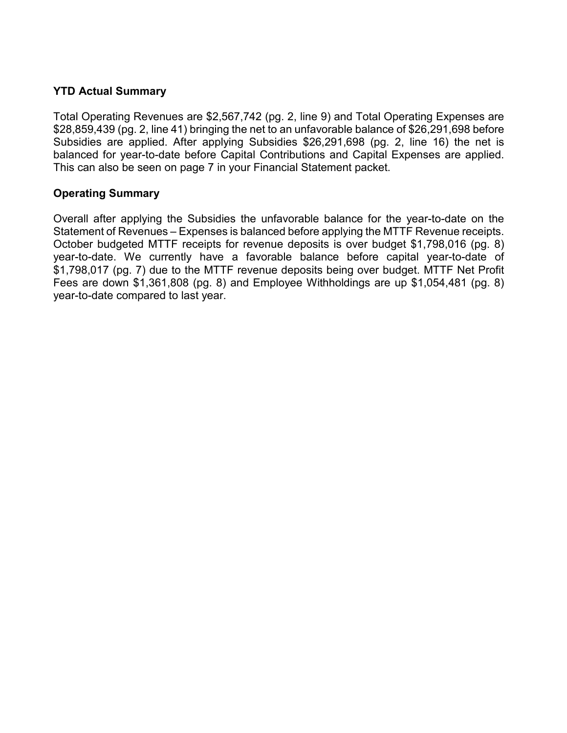### **YTD Actual Summary**

Total Operating Revenues are \$2,567,742 (pg. 2, line 9) and Total Operating Expenses are \$28,859,439 (pg. 2, line 41) bringing the net to an unfavorable balance of \$26,291,698 before Subsidies are applied. After applying Subsidies \$26,291,698 (pg. 2, line 16) the net is balanced for year-to-date before Capital Contributions and Capital Expenses are applied. This can also be seen on page 7 in your Financial Statement packet.

### **Operating Summary**

Overall after applying the Subsidies the unfavorable balance for the year-to-date on the Statement of Revenues – Expenses is balanced before applying the MTTF Revenue receipts. October budgeted MTTF receipts for revenue deposits is over budget \$1,798,016 (pg. 8) year-to-date. We currently have a favorable balance before capital year-to-date of \$1,798,017 (pg. 7) due to the MTTF revenue deposits being over budget. MTTF Net Profit Fees are down \$1,361,808 (pg. 8) and Employee Withholdings are up \$1,054,481 (pg. 8) year-to-date compared to last year.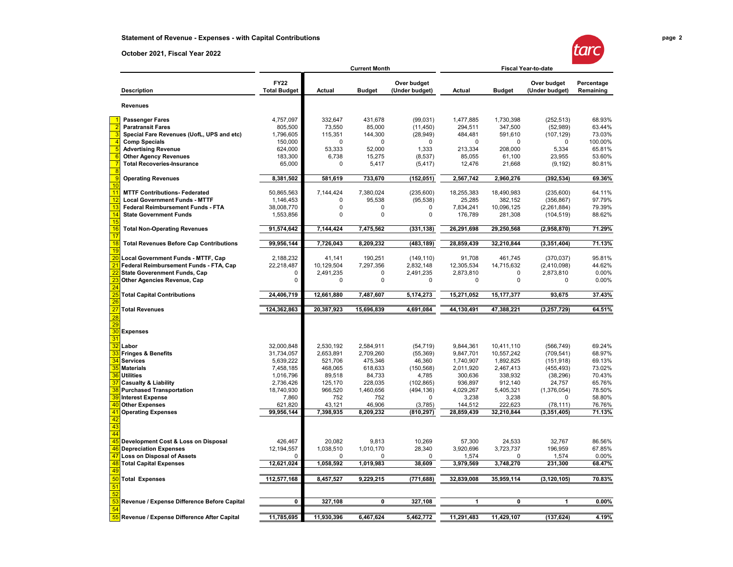#### **October 2021, Fiscal Year 2022**



|                 |                                                |                                    |             | <b>Current Month</b> |                               | <b>Fiscal Year-to-date</b> |               |                               |                         |
|-----------------|------------------------------------------------|------------------------------------|-------------|----------------------|-------------------------------|----------------------------|---------------|-------------------------------|-------------------------|
|                 | <b>Description</b>                             | <b>FY22</b><br><b>Total Budget</b> | Actual      | <b>Budget</b>        | Over budget<br>(Under budget) | Actual                     | <b>Budget</b> | Over budget<br>(Under budget) | Percentage<br>Remaining |
|                 | <b>Revenues</b>                                |                                    |             |                      |                               |                            |               |                               |                         |
|                 | <b>Passenger Fares</b>                         | 4,757,097                          | 332,647     | 431,678              | (99, 031)                     | 1,477,885                  | 1,730,398     | (252, 513)                    | 68.93%                  |
|                 | <b>Paratransit Fares</b>                       | 805,500                            | 73,550      | 85,000               | (11, 450)                     | 294,511                    | 347,500       | (52, 989)                     | 63.44%                  |
|                 | Special Fare Revenues (UofL, UPS and etc)      | 1,796,605                          | 115,351     | 144,300              | (28, 949)                     | 484,481                    | 591,610       | (107, 129)                    | 73.03%                  |
|                 | <b>Comp Specials</b>                           | 150,000                            | 0           | 0                    | 0                             | 0                          | 0             | 0                             | 100.00%                 |
| 5               | <b>Advertising Revenue</b>                     | 624,000                            | 53,333      | 52,000               | 1,333                         | 213,334                    | 208,000       | 5,334                         | 65.81%                  |
|                 | <b>Other Agency Revenues</b>                   | 183,300                            | 6,738       | 15,275               | (8,537)                       | 85,055                     | 61,100        | 23,955                        | 53.60%                  |
|                 | <b>Total Recoveries-Insurance</b>              | 65,000                             | $\Omega$    | 5,417                | (5, 417)                      | 12,476                     | 21,668        | (9, 192)                      | 80.81%                  |
|                 | <b>Operating Revenues</b>                      | 8,381,502                          | 581,619     | 733,670              | (152, 051)                    | 2,567,742                  | 2,960,276     | (392, 534)                    | 69.36%                  |
| 10<br>11        | <b>MTTF Contributions- Federated</b>           | 50,865,563                         | 7,144,424   | 7,380,024            | (235, 600)                    | 18,255,383                 | 18,490,983    | (235,600)                     | 64.11%                  |
| 12              | <b>Local Government Funds - MTTF</b>           | 1,146,453                          | 0           | 95,538               | (95, 538)                     | 25,285                     | 382,152       | (356, 867)                    | 97.79%                  |
| 13              | Federal Reimbursement Funds - FTA              | 38,008,770                         | 0           | 0                    | <sup>0</sup>                  | 7,834,241                  | 10,096,125    | (2,261,884)                   | 79.39%                  |
| 14              | <b>State Government Funds</b>                  | 1,553,856                          | 0           | $\pmb{0}$            | 0                             | 176,789                    | 281,308       | (104, 519)                    | 88.62%                  |
| 15              |                                                |                                    |             |                      |                               |                            |               |                               |                         |
| 16<br>17        | <b>Total Non-Operating Revenues</b>            | 91,574,642                         | 7,144,424   | 7,475,562            | (331, 138)                    | 26,291,698                 | 29,250,568    | (2,958,870)                   | 71.29%                  |
| 18<br>19        | <b>Total Revenues Before Cap Contributions</b> | 99,956,144                         | 7,726,043   | 8,209,232            | (483, 189)                    | 28,859,439                 | 32,210,844    | (3, 351, 404)                 | 71.13%                  |
| $\overline{20}$ | Local Government Funds - MTTF, Cap             | 2,188,232                          | 41,141      | 190,251              | (149, 110)                    | 91,708                     | 461,745       | (370, 037)                    | 95.81%                  |
| <u>21</u>       | Federal Reimbursement Funds - FTA, Cap         | 22,218,487                         | 10,129,504  | 7,297,356            | 2,832,148                     | 12,305,534                 | 14,715,632    | (2,410,098)                   | 44.62%                  |
|                 | <b>State Goverenment Funds, Cap</b>            | 0                                  | 2,491,235   | $\pmb{0}$            | 2,491,235                     | 2,873,810                  | 0             | 2,873,810                     | 0.00%                   |
|                 | Other Agencies Revenue, Cap                    | 0                                  | $\mathbf 0$ | $\mathbf 0$          | 0                             | 0                          | $\mathbf 0$   | $\mathbf 0$                   | 0.00%                   |
|                 |                                                |                                    |             |                      |                               |                            |               |                               |                         |
| 25              | <b>Total Capital Contributions</b>             | 24,406,719                         | 12,661,880  | 7,487,607            | 5,174,273                     | 15,271,052                 | 15, 177, 377  | 93,675                        | 37.43%                  |
|                 | <b>Total Revenues</b>                          | 124,362,863                        | 20,387,923  | 15,696,839           | 4,691,084                     | 44,130,491                 | 47,388,221    | (3, 257, 729)                 | 64.51%                  |
| 28              |                                                |                                    |             |                      |                               |                            |               |                               |                         |
| 29              |                                                |                                    |             |                      |                               |                            |               |                               |                         |
| 30<br>31        | <b>Expenses</b>                                |                                    |             |                      |                               |                            |               |                               |                         |
| 32              | Labor                                          | 32,000,848                         | 2,530,192   | 2,584,911            |                               | 9,844,361                  | 10,411,110    | (566, 749)                    | 69.24%                  |
|                 | <b>Fringes &amp; Benefits</b>                  | 31,734,057                         | 2,653,891   | 2,709,260            | (54, 719)<br>(55, 369)        | 9,847,701                  | 10,557,242    | (709, 541)                    | 68.97%                  |
| 34              | <b>Services</b>                                | 5,639,222                          | 521,706     | 475,346              | 46,360                        | 1,740,907                  | 1,892,825     | (151, 918)                    | 69.13%                  |
| 35              | <b>Materials</b>                               | 7,458,185                          | 468,065     | 618,633              | (150, 568)                    | 2,011,920                  | 2,467,413     | (455, 493)                    | 73.02%                  |
| 36              | <b>Utilities</b>                               | 1,016,796                          | 89,518      | 84,733               | 4,785                         | 300,636                    | 338,932       | (38, 296)                     | 70.43%                  |
|                 | <b>Casualty &amp; Liability</b>                | 2,736,426                          | 125,170     | 228,035              | (102, 865)                    | 936,897                    | 912,140       | 24,757                        | 65.76%                  |
| 38              | <b>Purchased Transportation</b>                | 18,740,930                         | 966,520     | 1,460,656            | (494, 136)                    | 4,029,267                  | 5,405,321     | (1,376,054)                   | 78.50%                  |
| 39              | <b>Interest Expense</b>                        | 7,860                              | 752         | 752                  | $\Omega$                      | 3,238                      | 3,238         | $\Omega$                      | 58.80%                  |
|                 | <b>Other Expenses</b>                          | 621,820                            | 43,121      | 46,906               | (3,785)                       | 144,512                    | 222,623       | (78, 111)                     | 76.76%                  |
| 41              | <b>Operating Expenses</b>                      | 99,956,144                         | 7,398,935   | 8,209,232            | (810, 297)                    | 28,859,439                 | 32,210,844    | (3, 351, 405)                 | 71.13%                  |
| 42              |                                                |                                    |             |                      |                               |                            |               |                               |                         |
| 43              |                                                |                                    |             |                      |                               |                            |               |                               |                         |
| 44              |                                                |                                    |             |                      |                               |                            |               |                               |                         |
| 45              | Development Cost & Loss on Disposal            | 426,467                            | 20,082      | 9,813                | 10,269                        | 57,300                     | 24,533        | 32,767                        | 86.56%                  |
|                 | <b>Depreciation Expenses</b>                   | 12,194,557                         | 1,038,510   | 1,010,170            | 28,340                        | 3,920,696                  | 3,723,737     | 196,959                       | 67.85%                  |
|                 | <b>Loss on Disposal of Assets</b>              |                                    |             |                      |                               | 1,574                      |               | 1,574                         | 0.00%                   |
|                 | <b>Total Capital Expenses</b>                  | 12,621,024                         | 1,058,592   | 1,019,983            | 38,609                        | 3,979,569                  | 3,748,270     | 231,300                       | 68.47%                  |
| 4S              |                                                |                                    |             |                      |                               |                            |               |                               |                         |
| 50              | <b>Total Expenses</b>                          | 112,577,168                        | 8,457,527   | 9,229,215            | (771, 688)                    | 32,839,008                 | 35,959,114    | (3, 120, 105)                 | 70.83%                  |
| 51              |                                                |                                    |             |                      |                               |                            |               |                               |                         |
| 52              |                                                |                                    |             |                      |                               |                            |               |                               |                         |
| 53              | Revenue / Expense Difference Before Capital    | 0                                  | 327,108     | 0                    | 327,108                       | 1                          | 0             | 1                             | 0.00%                   |
| 54              |                                                |                                    |             |                      |                               |                            |               |                               |                         |
|                 | Revenue / Expense Difference After Capital     | 11,785,695                         | 11,930,396  | 6,467,624            | 5,462,772                     | 11,291,483                 | 11,429,107    | (137,624)                     | 4.19%                   |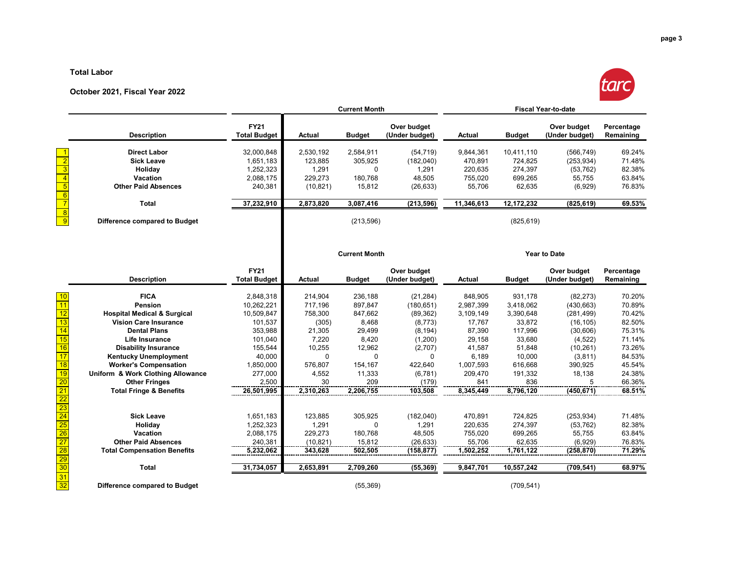#### **Total Labor**

#### **October 2021, Fiscal Year 2022**



|    |                                        |                                    |               | <b>Current Month</b> |                               | <b>Fiscal Year-to-date</b> |               |                               |                         |
|----|----------------------------------------|------------------------------------|---------------|----------------------|-------------------------------|----------------------------|---------------|-------------------------------|-------------------------|
|    | <b>Description</b>                     | <b>FY21</b><br><b>Total Budget</b> | <b>Actual</b> | <b>Budget</b>        | Over budget<br>(Under budget) | Actual                     | <b>Budget</b> | Over budget<br>(Under budget) | Percentage<br>Remaining |
|    | <b>Direct Labor</b>                    | 32,000,848                         | 2,530,192     | 2,584,911            | (54, 719)                     | 9,844,361                  | 10,411,110    | (566, 749)                    | 69.24%                  |
|    | <b>Sick Leave</b>                      | 1,651,183                          | 123,885       | 305,925              | (182,040)                     | 470,891                    | 724,825       | (253, 934)                    | 71.48%                  |
|    | Holiday                                | 1,252,323                          | 1,291         | $\mathbf{0}$         | 1,291                         | 220,635                    | 274,397       | (53, 762)                     | 82.38%                  |
|    | Vacation                               | 2,088,175                          | 229,273       | 180,768              | 48,505                        | 755,020                    | 699,265       | 55,755                        | 63.84%                  |
|    | <b>Other Paid Absences</b>             | 240,381                            | (10, 821)     | 15,812               | (26, 633)                     | 55,706                     | 62,635        | (6,929)                       | 76.83%                  |
|    | Total                                  | 37,232,910                         | 2,873,820     | 3,087,416            | (213, 596)                    | 11,346,613                 | 12, 172, 232  | (825, 619)                    | 69.53%                  |
|    | Difference compared to Budget          |                                    |               | (213, 596)           |                               |                            | (825, 619)    |                               |                         |
|    |                                        |                                    |               | <b>Current Month</b> |                               |                            |               | <b>Year to Date</b>           |                         |
|    |                                        | <b>FY21</b>                        |               |                      | Over budget                   |                            |               | Over budget                   | Percentage              |
|    | <b>Description</b>                     | <b>Total Budget</b>                | <b>Actual</b> | <b>Budget</b>        | (Under budget)                | <b>Actual</b>              | <b>Budget</b> | (Under budget)                | Remaining               |
|    | <b>FICA</b>                            | 2,848,318                          | 214,904       | 236,188              | (21, 284)                     | 848,905                    | 931,178       | (82, 273)                     | 70.20%                  |
|    | Pension                                | 10,262,221                         | 717,196       | 897,847              | (180, 651)                    | 2,987,399                  | 3,418,062     | (430, 663)                    | 70.89%                  |
|    | <b>Hospital Medical &amp; Surgical</b> | 10,509,847                         | 758,300       | 847,662              | (89, 362)                     | 3,109,149                  | 3,390,648     | (281, 499)                    | 70.42%                  |
|    | <b>Vision Care Insurance</b>           | 101,537                            | (305)         | 8,468                | (8,773)                       | 17,767                     | 33,872        | (16, 105)                     | 82.50%                  |
|    | <b>Dental Plans</b>                    | 353,988                            | 21,305        | 29,499               | (8, 194)                      | 87,390                     | 117,996       | (30,606)                      | 75.31%                  |
|    | <b>Life Insurance</b>                  | 101,040                            | 7,220         | 8,420                | (1,200)                       | 29,158                     | 33,680        | (4,522)                       | 71.14%                  |
|    | <b>Disability Insurance</b>            | 155,544                            | 10,255        | 12,962               | (2,707)                       | 41,587                     | 51,848        | (10, 261)                     | 73.26%                  |
|    | <b>Kentucky Unemployment</b>           | 40,000                             | $\Omega$      | $\mathbf{0}$         | $\Omega$                      | 6,189                      | 10,000        | (3,811)                       | 84.53%                  |
|    | <b>Worker's Compensation</b>           | 1,850,000                          | 576,807       | 154,167              | 422.640                       | 1,007,593                  | 616,668       | 390,925                       | 45.54%                  |
| 19 | Uniform & Work Clothing Allowance      | 277,000                            | 4,552         | 11,333               | (6,781)                       | 209,470                    | 191,332       | 18,138                        | 24.38%                  |
|    | <b>Other Fringes</b>                   | 2,500                              | 30            | 209                  | (179)                         | 841                        | 836           | 5                             | 66.36%                  |
|    | <b>Total Fringe &amp; Benefits</b>     | 26,501,995                         | 2,310,263     | 2,206,755            | 103,508                       | 8,345,449                  | 8,796,120     | (450, 671)                    | 68.51%                  |
|    |                                        |                                    |               |                      |                               |                            |               |                               |                         |
|    | <b>Sick Leave</b>                      | 1,651,183                          | 123,885       | 305,925              | (182,040)                     | 470,891                    | 724,825       | (253, 934)                    | 71.48%                  |
|    | Holiday                                | 1,252,323                          | 1,291         | 0                    | 1,291                         | 220,635                    | 274,397       | (53, 762)                     | 82.38%                  |
|    | Vacation                               | 2,088,175                          | 229.273       | 180,768              | 48,505                        | 755.020                    | 699,265       | 55.755                        | 63.84%                  |

**Difference compared to Budget** (55,369) (709,541)

 $\frac{29}{30}$ 

 $\frac{31}{32}$ 

 **Other Paid Absences** 240,381 (10,821) 15,812 (26,633) 55,706 62,635 (6,929) 76.83% **Total Compensation Benefits 5,232,062 343,628 502,505 (158,877) 1,502,252 1,761,122 (258,870) 71.29%**

**Total 31,734,057 2,653,891 2,709,260 (55,369) 9,847,701 10,557,242 (709,541) 68.97%**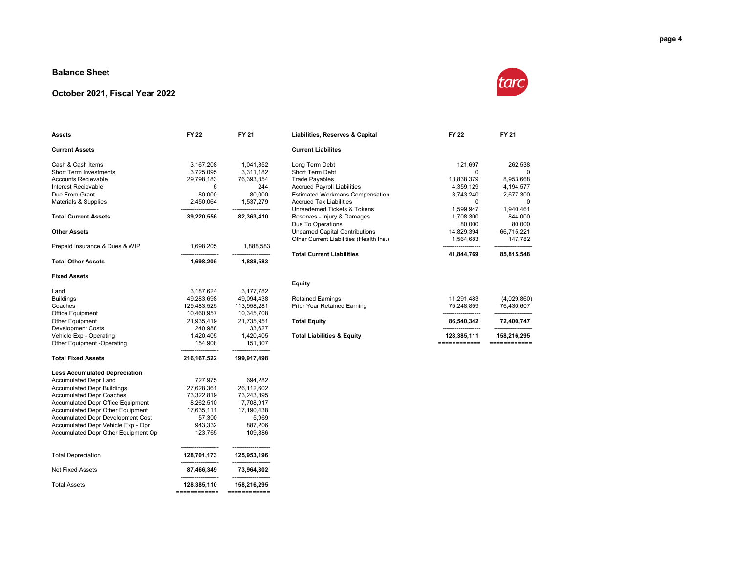#### **Balance Sheet**

#### **October 2021, Fiscal Year 2022**



| <b>Assets</b>                            | <b>FY 22</b>  | <b>FY 21</b>                      | Liabilities, Reserves & Capital         | FY 22                | <b>FY 21</b> |
|------------------------------------------|---------------|-----------------------------------|-----------------------------------------|----------------------|--------------|
| <b>Current Assets</b>                    |               |                                   | <b>Current Liabilites</b>               |                      |              |
| Cash & Cash Items                        | 3,167,208     | 1,041,352                         | Long Term Debt                          | 121,697              | 262,538      |
| Short Term Investments                   | 3,725,095     | 3,311,182                         | Short Term Debt                         | 0                    | $\Omega$     |
| <b>Accounts Recievable</b>               | 29,798,183    | 76,393,354                        | <b>Trade Payables</b>                   | 13,838,379           | 8,953,668    |
| Interest Recievable                      | 6             | 244                               | <b>Accrued Payroll Liabilities</b>      | 4,359,129            | 4,194,577    |
| Due From Grant                           | 80,000        | 80,000                            | <b>Estimated Workmans Compensation</b>  | 3,743,240            | 2,677,300    |
| <b>Materials &amp; Supplies</b>          | 2,450,064     | 1,537,279                         | <b>Accrued Tax Liabilities</b>          | $\Omega$             | $\Omega$     |
|                                          |               |                                   | Unreedemed Tickets & Tokens             | 1,599,947            | 1,940,461    |
| <b>Total Current Assets</b>              | 39,220,556    | 82,363,410                        | Reserves - Injury & Damages             | 1,708,300            | 844,000      |
|                                          |               |                                   | Due To Operations                       | 80,000               | 80,000       |
| <b>Other Assets</b>                      |               |                                   | <b>Unearned Capital Contributions</b>   | 14,829,394           | 66,715,221   |
|                                          |               |                                   | Other Current Liabilities (Health Ins.) | 1,564,683            | 147,782      |
| Prepaid Insurance & Dues & WIP           | 1,698,205     | 1,888,583                         |                                         |                      |              |
|                                          |               |                                   | <b>Total Current Liabilities</b>        | 41,844,769           | 85,815,548   |
| <b>Total Other Assets</b>                | 1,698,205     | 1,888,583                         |                                         |                      |              |
| <b>Fixed Assets</b>                      |               |                                   |                                         |                      |              |
|                                          |               |                                   | <b>Equity</b>                           |                      |              |
| Land                                     | 3,187,624     | 3,177,782                         |                                         |                      |              |
| <b>Buildings</b>                         | 49,283,698    | 49,094,438                        | <b>Retained Earnings</b>                | 11,291,483           | (4,029,860)  |
| Coaches                                  | 129,483,525   | 113,958,281                       | Prior Year Retained Earning             | 75,248,859           | 76,430,607   |
| Office Equipment                         | 10,460,957    | 10,345,708                        |                                         |                      |              |
| <b>Other Equipment</b>                   | 21,935,419    | 21,735,951                        | <b>Total Equity</b>                     | 86,540,342           | 72,400,747   |
| <b>Development Costs</b>                 | 240,988       | 33,627                            |                                         | -------------------- |              |
| Vehicle Exp - Operating                  | 1,420,405     | 1,420,405                         | <b>Total Liabilities &amp; Equity</b>   | 128,385,111          | 158,216,295  |
| Other Equipment -Operating               | 154,908       | 151,307                           |                                         | ============         | ============ |
| <b>Total Fixed Assets</b>                | 216, 167, 522 | 199,917,498                       |                                         |                      |              |
| <b>Less Accumulated Depreciation</b>     |               |                                   |                                         |                      |              |
| <b>Accumulated Depr Land</b>             | 727,975       | 694,282                           |                                         |                      |              |
| <b>Accumulated Depr Buildings</b>        | 27,628,361    | 26,112,602                        |                                         |                      |              |
| <b>Accumulated Depr Coaches</b>          | 73,322,819    | 73,243,895                        |                                         |                      |              |
| <b>Accumulated Depr Office Equipment</b> | 8,262,510     | 7,708,917                         |                                         |                      |              |
| <b>Accumulated Depr Other Equipment</b>  | 17,635,111    | 17,190,438                        |                                         |                      |              |
| <b>Accumulated Depr Development Cost</b> | 57,300        | 5,969                             |                                         |                      |              |
| Accumulated Depr Vehicle Exp - Opr       | 943,332       | 887,206                           |                                         |                      |              |
| Accumulated Depr Other Equipment Op      | 123,765       | 109,886                           |                                         |                      |              |
| <b>Total Depreciation</b>                | 128,701,173   | 125,953,196<br>------------------ |                                         |                      |              |
| <b>Net Fixed Assets</b>                  | 87,466,349    | 73,964,302                        |                                         |                      |              |
| <b>Total Assets</b>                      | 128,385,110   | 158,216,295                       |                                         |                      |              |
|                                          | ============  | ============                      |                                         |                      |              |

|            |            | <b>Current Liabilites</b>               |            |            |
|------------|------------|-----------------------------------------|------------|------------|
| 3.167.208  | 1.041.352  | Long Term Debt                          | 121.697    | 262.538    |
| 3.725.095  | 3.311.182  | Short Term Debt                         | O          |            |
| 29.798.183 | 76.393.354 | <b>Trade Payables</b>                   | 13,838,379 | 8.953.668  |
| 6          | 244        | <b>Accrued Payroll Liabilities</b>      | 4.359.129  | 4.194.577  |
| 80,000     | 80.000     | <b>Estimated Workmans Compensation</b>  | 3.743.240  | 2,677,300  |
| 2.450.064  | 1.537.279  | <b>Accrued Tax Liabilities</b>          | 0          |            |
|            |            | Unreedemed Tickets & Tokens             | 1.599.947  | 1.940.461  |
| 39,220,556 | 82.363.410 | Reserves - Injury & Damages             | 1.708.300  | 844.000    |
|            |            | Due To Operations                       | 80.000     | 80,000     |
|            |            | <b>Unearned Capital Contributions</b>   | 14.829.394 | 66.715.221 |
|            |            | Other Current Liabilities (Health Ins.) | 1.564.683  | 147.782    |
| 1,698,205  | 1,888,583  |                                         |            |            |
|            |            | <b>Total Current Liabilities</b>        | 41.844.769 | 85.815.548 |

| otal Liabilities & Equity                      | 128.385.111              | 158.216.295               |
|------------------------------------------------|--------------------------|---------------------------|
| otal Equity                                    | 86.540.342               | 72.400.747                |
| etained Earnings<br>rior Year Retained Earning | 11.291.483<br>75.248.859 | (4,029,860)<br>76.430.607 |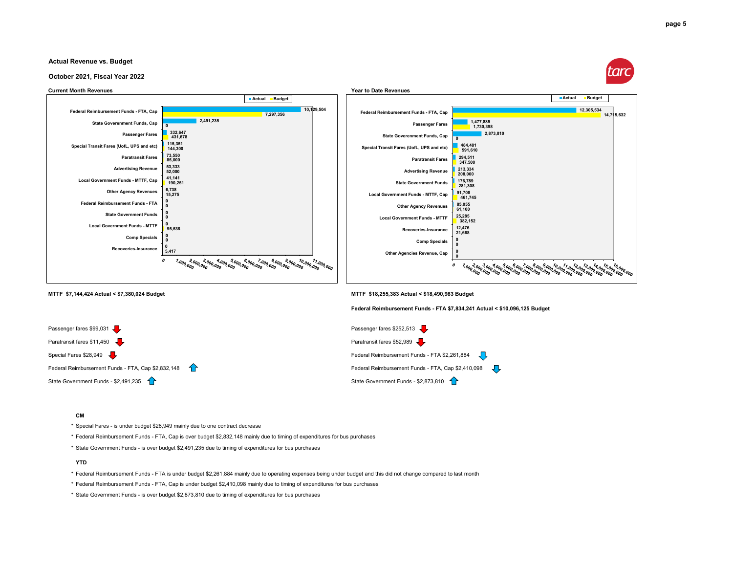

#### **October 2021, Fiscal Year 2022**





**MTTF \$7,144,424 Actual < \$7,380,024 Budget MTTF \$18,255,383 Actual < \$18,490,983 Budget**

**Federal Reimbursement Funds - FTA \$7,834,241 Actual < \$10,096,125 Budget**



#### **CM**

\* Special Fares - is under budget \$28,949 mainly due to one contract decrease

\* Federal Reimbursement Funds - FTA, Cap is over budget \$2,832,148 mainly due to timing of expenditures for bus purchases

\* State Government Funds - is over budget \$2,491,235 due to timing of expenditures for bus purchases

#### **YTD**

\* Federal Reimbursement Funds - FTA is under budget \$2,261,884 mainly due to operating expenses being under budget and this did not change compared to last month

\* Federal Reimbursement Funds - FTA, Cap is under budget \$2,410,098 mainly due to timing of expenditures for bus purchases

\* State Government Funds - is over budget \$2,873,810 due to timing of expenditures for bus purchases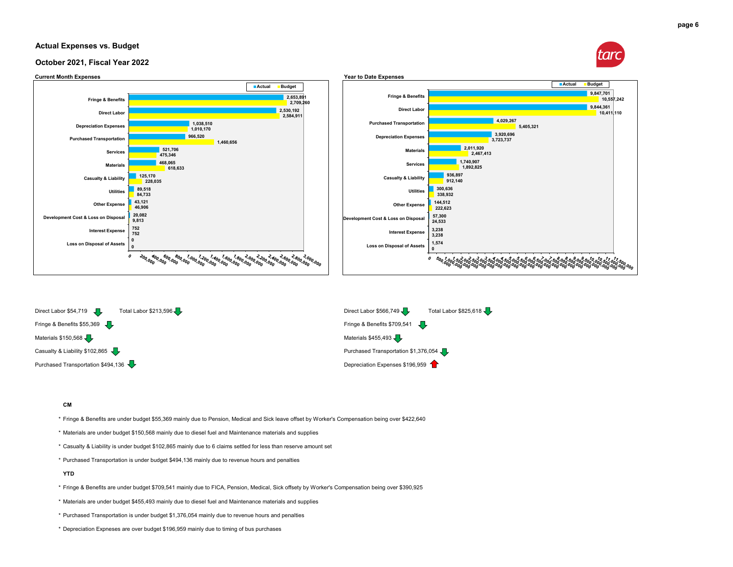#### **Actual Expenses vs. Budget**



#### **October 2021, Fiscal Year 2022**



Materials \$150,568  $\sqrt{\phantom{a}}\,$ 

Casualty & Liability \$102,865 Purchased Transportation \$1,376,054 Purchased Transportation \$1,376,054 Purchased Transportation \$494,136  $\blacktriangledown$ 

#### **CM**

- \* Fringe & Benefits are under budget \$55,369 mainly due to Pension, Medical and Sick leave offset by Worker's Compensation being over \$422,640
- \* Materials are under budget \$150,568 mainly due to diesel fuel and Maintenance materials and supplies
- \* Casualty & Liability is under budget \$102,865 mainly due to 6 claims settled for less than reserve amount set
- \* Purchased Transportation is under budget \$494,136 mainly due to revenue hours and penalties

#### **YTD**

- \* Fringe & Benefits are under budget \$709,541 mainly due to FICA, Pension, Medical, Sick offsety by Worker's Compensation being over \$390,925
- \* Materials are under budget \$455,493 mainly due to diesel fuel and Maintenance materials and supplies
- \* Purchased Transportation is under budget \$1,376,054 mainly due to revenue hours and penalties
- \* Depreciation Expneses are over budget \$196,959 mainly due to timing of bus purchases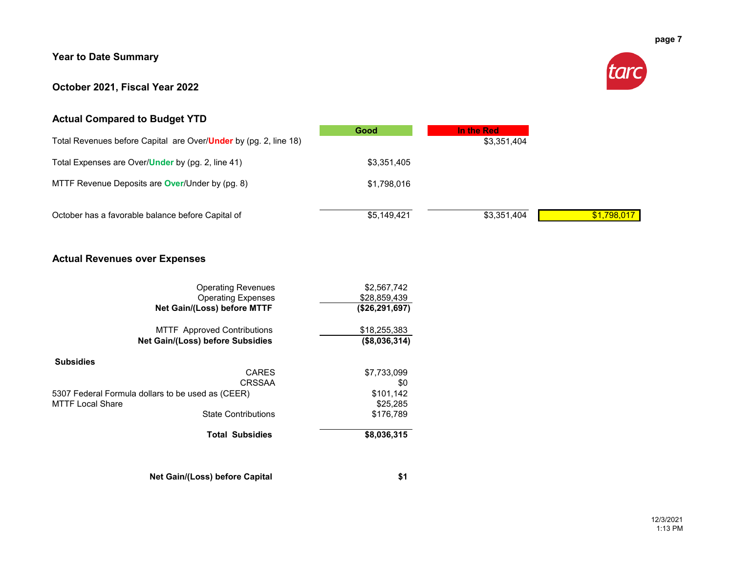### **Year to Date Summary**

### **October 2021, Fiscal Year 2022**



### **Actual Compared to Budget YTD**

|                                                                          | Good        | In the Red  |
|--------------------------------------------------------------------------|-------------|-------------|
| Total Revenues before Capital are Over/ <b>Under</b> by (pg. 2, line 18) |             | \$3,351,404 |
| Total Expenses are Over/ <b>Under</b> by (pg. 2, line 41)                | \$3,351,405 |             |
| MTTF Revenue Deposits are <b>Over</b> /Under by (pg. 8)                  | \$1,798,016 |             |
|                                                                          |             |             |
| October has a favorable balance before Capital of                        | \$5,149,421 | \$3,351,404 |

### **Actual Revenues over Expenses**

| <b>Operating Revenues</b><br><b>Operating Expenses</b> | \$2,567,742<br>\$28,859,439 |
|--------------------------------------------------------|-----------------------------|
| Net Gain/(Loss) before MTTF                            | (\$26,291,697)              |
| <b>MTTF</b> Approved Contributions                     | \$18,255,383                |
| Net Gain/(Loss) before Subsidies                       | (\$8,036,314)               |
| <b>Subsidies</b>                                       |                             |
| <b>CARES</b>                                           | \$7,733,099                 |
| CRSSAA                                                 | \$0                         |
| 5307 Federal Formula dollars to be used as (CEER)      | \$101,142                   |
| MTTF Local Share                                       | \$25,285                    |
| <b>State Contributions</b>                             | \$176.789                   |
| <b>Total Subsidies</b>                                 | \$8,036,315                 |

**Net Gain/(Loss) before Capital \$1**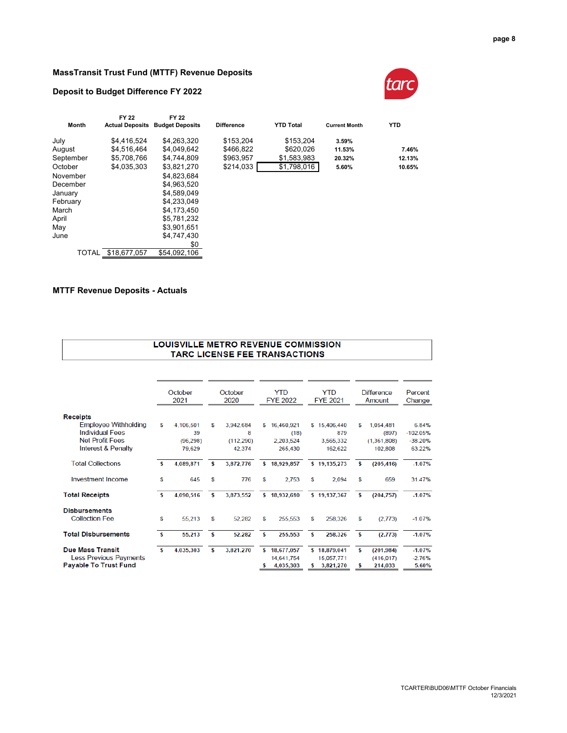#### **MassTransit Trust Fund (MTTF) Revenue Deposits**

#### **Deposit to Budget Difference FY 2022**



|           | FY 22                  | FY 22                  |                   |                  |                      |            |
|-----------|------------------------|------------------------|-------------------|------------------|----------------------|------------|
| Month     | <b>Actual Deposits</b> | <b>Budget Deposits</b> | <b>Difference</b> | <b>YTD Total</b> | <b>Current Month</b> | <b>YTD</b> |
| July      | \$4,416,524            | \$4,263,320            | \$153,204         | \$153,204        | 3.59%                |            |
| August    | \$4.516.464            | \$4.049.642            | \$466,822         | \$620.026        | 11.53%               | 7.46%      |
| September | \$5,708,766            | \$4,744,809            | \$963,957         | \$1,583,983      | 20.32%               | 12.13%     |
| October   | \$4.035.303            | \$3.821.270            | \$214,033         | \$1,798,016      | 5.60%                | 10.65%     |
| November  |                        | \$4.823.684            |                   |                  |                      |            |
| December  |                        | \$4.963.520            |                   |                  |                      |            |
| January   |                        | \$4.589.049            |                   |                  |                      |            |
| February  |                        | \$4.233.049            |                   |                  |                      |            |
| March     |                        | \$4.173.450            |                   |                  |                      |            |
| April     |                        | \$5.781.232            |                   |                  |                      |            |
| May       |                        | \$3.901.651            |                   |                  |                      |            |
| June      |                        | \$4.747.430            |                   |                  |                      |            |
|           |                        | \$0                    |                   |                  |                      |            |
| TOTAL     | \$18.677.057           | \$54.092.106           |                   |                  |                      |            |

#### **MTTF Revenue Deposits - Actuals**

| LOUISVILLE METRO REVENUE COMMISSION  |  |
|--------------------------------------|--|
| <b>TARC LICENSE FEE TRANSACTIONS</b> |  |

|                               |          | October<br>2021 |    | October<br>2020 |     | <b>YTD</b><br><b>FYE 2022</b> |   | <b>YTD</b><br><b>FYE 2021</b> |    | <b>Difference</b><br>Amount | Percent<br>Change |
|-------------------------------|----------|-----------------|----|-----------------|-----|-------------------------------|---|-------------------------------|----|-----------------------------|-------------------|
| <b>Receipts</b>               |          |                 |    |                 |     |                               |   |                               |    |                             |                   |
| <b>Employee Withholding</b>   | S        | 4.106.501       | S  | 3,942,684       | S   | 16.460.921                    |   | \$15,406,440                  | S  | 1,054,481                   | 6.84%             |
| <b>Individual Fees</b>        |          | 39              |    | 8               |     | (18)                          |   | 879                           |    | (897)                       | $-102.05%$        |
| <b>Net Profit Fees</b>        |          | (96, 298)       |    | (112, 290)      |     | 2.203.524                     |   | 3,565,332                     |    | (1.361.808)                 | $-38.20%$         |
| <b>Interest &amp; Penalty</b> |          | 79.629          |    | 42,374          |     | 265.430                       |   | 162,622                       |    | 102,808                     | 63.22%            |
| <b>Total Collections</b>      | s        | 4,089,871       | \$ | 3,872,776       | S.  | 18,929,857                    |   | \$19,135,273                  | s  | (205, 416)                  | $-1.07%$          |
| <b>Investment Income</b>      | S        | 645             | S  | 776             | S   | 2.753                         | s | 2.094                         | s  | 659                         | 31.47%            |
| <b>Total Receipts</b>         | s        | 4,090,516       | S  | 3,873,552       | s.  | 18,932,610                    |   | \$19,137,367                  | \$ | (204, 757)                  | $-1.07%$          |
| <b>Disbursements</b>          |          |                 |    |                 |     |                               |   |                               |    |                             |                   |
| <b>Collection Fee</b>         | s        | 55,213          | \$ | 52,282          | S   | 255,553                       | S | 258,326                       | \$ | (2, 773)                    | $-1.07%$          |
| <b>Total Disbursements</b>    | <b>S</b> | 55,213          | s  | 52,282          | s   | 255,553                       | s | 258,326                       | \$ | (2, 773)                    | $-1.07%$          |
| <b>Due Mass Transit</b>       | s        | 4,035,303       | s  | 3,821,270       | \$. | 18,677,057                    |   | \$18,879,041                  | \$ | (201, 984)                  | $-1.07%$          |
| <b>Less Previous Payments</b> |          |                 |    |                 |     | 14,641,754                    |   | 15.057.771                    |    | (416, 017)                  | $-2.76%$          |
| <b>Payable To Trust Fund</b>  |          |                 |    |                 |     | 4,035,303                     |   | 3,821,270                     | \$ | 214,033                     | 5.60%             |
|                               |          |                 |    |                 |     |                               |   |                               |    |                             |                   |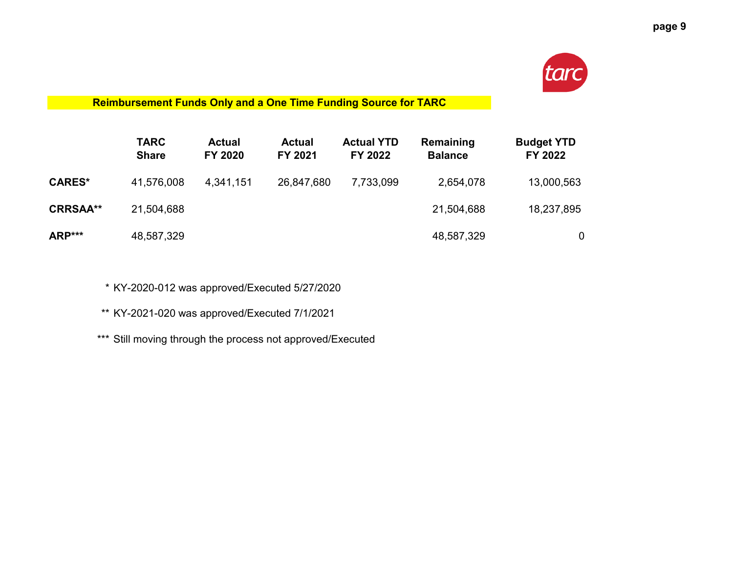

### **Reimbursement Funds Only and a One Time Funding Source for TARC**

|                 | <b>TARC</b><br><b>Share</b> | <b>Actual</b><br><b>FY 2020</b> | <b>Actual</b><br>FY 2021 | <b>Actual YTD</b><br>FY 2022 | Remaining<br><b>Balance</b> | <b>Budget YTD</b><br>FY 2022 |
|-----------------|-----------------------------|---------------------------------|--------------------------|------------------------------|-----------------------------|------------------------------|
| <b>CARES*</b>   | 41,576,008                  | 4,341,151                       | 26,847,680               | 7,733,099                    | 2,654,078                   | 13,000,563                   |
| <b>CRRSAA**</b> | 21,504,688                  |                                 |                          |                              | 21,504,688                  | 18,237,895                   |
| ARP***          | 48,587,329                  |                                 |                          |                              | 48,587,329                  | $\mathbf 0$                  |

\* KY-2020-012 was approved/Executed 5/27/2020

\*\* KY-2021-020 was approved/Executed 7/1/2021

\*\*\* Still moving through the process not approved/Executed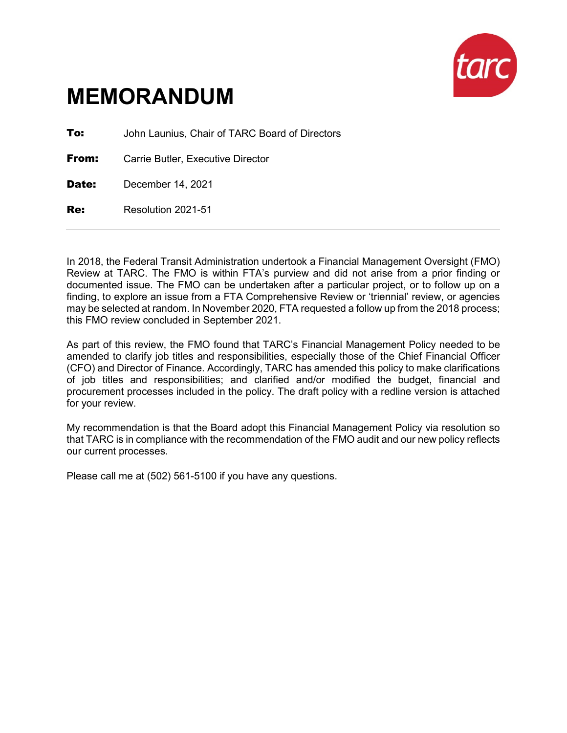

# **MEMORANDUM**

**To:** John Launius, Chair of TARC Board of Directors

**From:** Carrie Butler, Executive Director

Date: December 14, 2021

Re: Resolution 2021-51

In 2018, the Federal Transit Administration undertook a Financial Management Oversight (FMO) Review at TARC. The FMO is within FTA's purview and did not arise from a prior finding or documented issue. The FMO can be undertaken after a particular project, or to follow up on a finding, to explore an issue from a FTA Comprehensive Review or 'triennial' review, or agencies may be selected at random. In November 2020, FTA requested a follow up from the 2018 process; this FMO review concluded in September 2021.

As part of this review, the FMO found that TARC's Financial Management Policy needed to be amended to clarify job titles and responsibilities, especially those of the Chief Financial Officer (CFO) and Director of Finance. Accordingly, TARC has amended this policy to make clarifications of job titles and responsibilities; and clarified and/or modified the budget, financial and procurement processes included in the policy. The draft policy with a redline version is attached for your review.

My recommendation is that the Board adopt this Financial Management Policy via resolution so that TARC is in compliance with the recommendation of the FMO audit and our new policy reflects our current processes.

Please call me at (502) 561-5100 if you have any questions.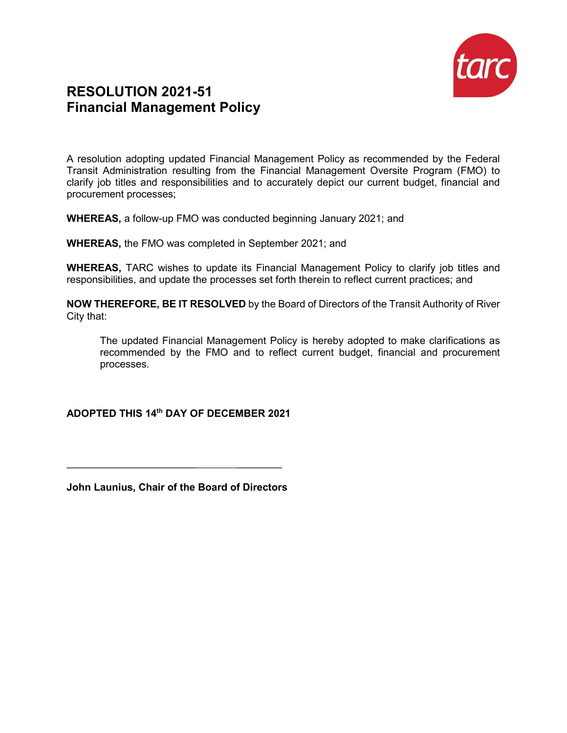

### **RESOLUTION 2021-51 Financial Management Policy**

A resolution adopting updated Financial Management Policy as recommended by the Federal Transit Administration resulting from the Financial Management Oversite Program (FMO) to clarify job titles and responsibilities and to accurately depict our current budget, financial and procurement processes;

**WHEREAS,** a follow-up FMO was conducted beginning January 2021; and

**WHEREAS,** the FMO was completed in September 2021; and

**WHEREAS,** TARC wishes to update its Financial Management Policy to clarify job titles and responsibilities, and update the processes set forth therein to reflect current practices; and

**NOW THEREFORE, BE IT RESOLVED** by the Board of Directors of the Transit Authority of River City that:

The updated Financial Management Policy is hereby adopted to make clarifications as recommended by the FMO and to reflect current budget, financial and procurement processes.

### **ADOPTED THIS 14th DAY OF DECEMBER 2021**

**John Launius, Chair of the Board of Directors**

\_\_\_\_\_\_\_\_\_\_\_\_\_\_\_\_\_\_\_\_\_\_\_ \_\_\_\_\_\_\_\_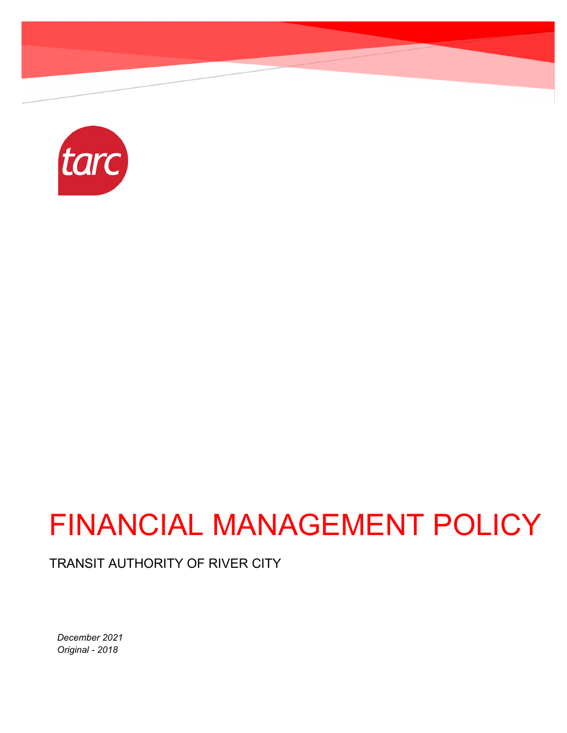

# FINANCIAL MANAGEMENT POLICY

TRANSIT AUTHORITY OF RIVER CITY

*December 2021 Original - 2018*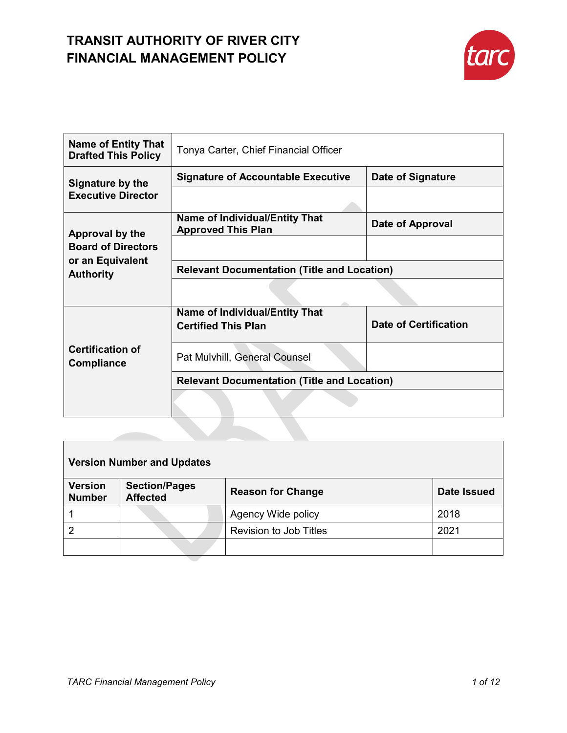

| <b>Name of Entity That</b><br><b>Drafted This Policy</b>                             | Tonya Carter, Chief Financial Officer                               |                              |  |
|--------------------------------------------------------------------------------------|---------------------------------------------------------------------|------------------------------|--|
| Signature by the<br><b>Executive Director</b>                                        | <b>Signature of Accountable Executive</b>                           | <b>Date of Signature</b>     |  |
|                                                                                      |                                                                     |                              |  |
| Approval by the<br><b>Board of Directors</b><br>or an Equivalent<br><b>Authority</b> | <b>Name of Individual/Entity That</b><br><b>Approved This Plan</b>  | Date of Approval             |  |
|                                                                                      |                                                                     |                              |  |
|                                                                                      | <b>Relevant Documentation (Title and Location)</b>                  |                              |  |
|                                                                                      |                                                                     |                              |  |
|                                                                                      |                                                                     |                              |  |
|                                                                                      | <b>Name of Individual/Entity That</b><br><b>Certified This Plan</b> | <b>Date of Certification</b> |  |
| <b>Certification of</b><br><b>Compliance</b>                                         | Pat Mulvhill, General Counsel                                       |                              |  |
|                                                                                      | <b>Relevant Documentation (Title and Location)</b>                  |                              |  |

| <b>Version Number and Updates</b> |                                         |                               |                    |  |
|-----------------------------------|-----------------------------------------|-------------------------------|--------------------|--|
| <b>Version</b><br><b>Number</b>   | <b>Section/Pages</b><br><b>Affected</b> | <b>Reason for Change</b>      | <b>Date Issued</b> |  |
|                                   |                                         | Agency Wide policy            | 2018               |  |
| $\overline{2}$                    |                                         | <b>Revision to Job Titles</b> | 2021               |  |
|                                   |                                         |                               |                    |  |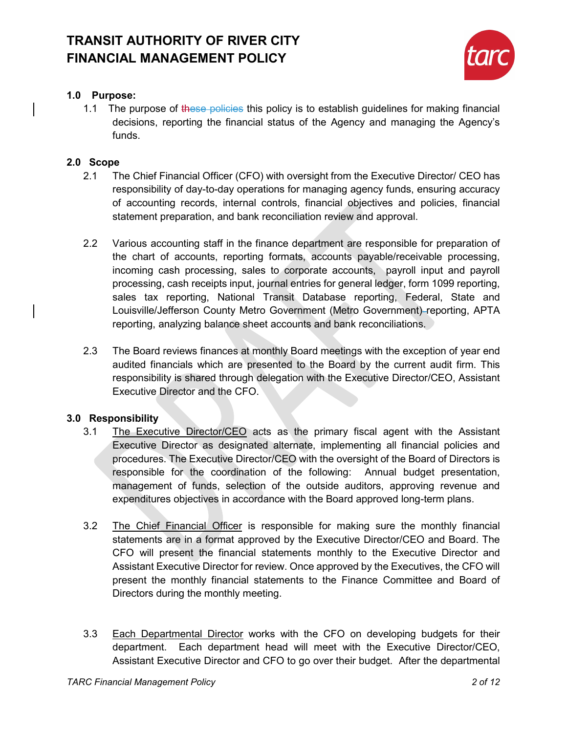

### **1.0 Purpose:**

1.1 The purpose of these policies this policy is to establish guidelines for making financial decisions, reporting the financial status of the Agency and managing the Agency's funds.

### **2.0 Scope**

- 2.1 The Chief Financial Officer (CFO) with oversight from the Executive Director/ CEO has responsibility of day-to-day operations for managing agency funds, ensuring accuracy of accounting records, internal controls, financial objectives and policies, financial statement preparation, and bank reconciliation review and approval.
- 2.2 Various accounting staff in the finance department are responsible for preparation of the chart of accounts, reporting formats, accounts payable/receivable processing, incoming cash processing, sales to corporate accounts, payroll input and payroll processing, cash receipts input, journal entries for general ledger, form 1099 reporting, sales tax reporting, National Transit Database reporting, Federal, State and Louisville/Jefferson County Metro Government (Metro Government) reporting, APTA reporting, analyzing balance sheet accounts and bank reconciliations.
- 2.3 The Board reviews finances at monthly Board meetings with the exception of year end audited financials which are presented to the Board by the current audit firm. This responsibility is shared through delegation with the Executive Director/CEO, Assistant Executive Director and the CFO.

### **3.0 Responsibility**

- 3.1 The Executive Director/CEO acts as the primary fiscal agent with the Assistant Executive Director as designated alternate, implementing all financial policies and procedures. The Executive Director/CEO with the oversight of the Board of Directors is responsible for the coordination of the following: Annual budget presentation, management of funds, selection of the outside auditors, approving revenue and expenditures objectives in accordance with the Board approved long-term plans.
- 3.2 The Chief Financial Officer is responsible for making sure the monthly financial statements are in a format approved by the Executive Director/CEO and Board. The CFO will present the financial statements monthly to the Executive Director and Assistant Executive Director for review. Once approved by the Executives, the CFO will present the monthly financial statements to the Finance Committee and Board of Directors during the monthly meeting.
- 3.3 Each Departmental Director works with the CFO on developing budgets for their department. Each department head will meet with the Executive Director/CEO, Assistant Executive Director and CFO to go over their budget. After the departmental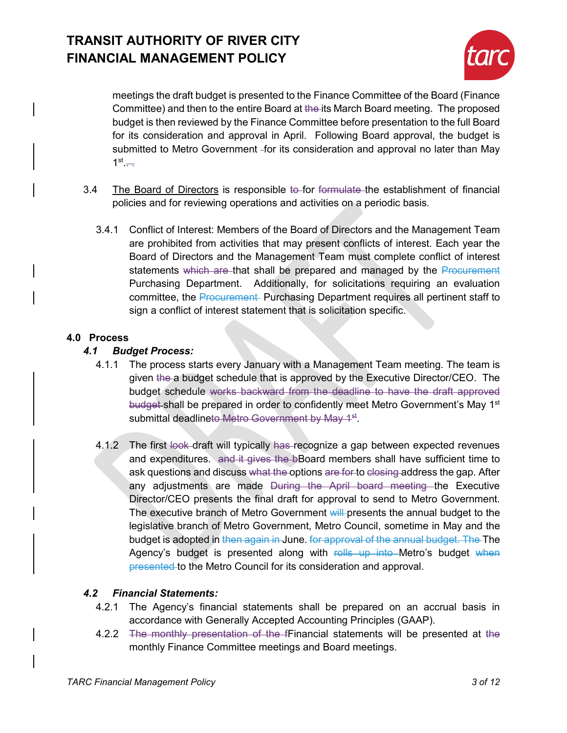

meetings the draft budget is presented to the Finance Committee of the Board (Finance Committee) and then to the entire Board at the its March Board meeting. The proposed budget is then reviewed by the Finance Committee before presentation to the full Board for its consideration and approval in April. Following Board approval, the budget is submitted to Metro Government -for its consideration and approval no later than May  $1<sup>st</sup>$ ...

- 3.4 The Board of Directors is responsible to for formulate the establishment of financial policies and for reviewing operations and activities on a periodic basis.
	- 3.4.1 Conflict of Interest: Members of the Board of Directors and the Management Team are prohibited from activities that may present conflicts of interest. Each year the Board of Directors and the Management Team must complete conflict of interest statements which are that shall be prepared and managed by the Procurement Purchasing Department. Additionally, for solicitations requiring an evaluation committee, the Procurement-Purchasing Department requires all pertinent staff to sign a conflict of interest statement that is solicitation specific.

### **4.0 Process**

### *4.1 Budget Process:*

- 4.1.1 The process starts every January with a Management Team meeting. The team is given the a budget schedule that is approved by the Executive Director/CEO. The budget schedule works backward from the deadline to have the draft approved budget-shall be prepared in order to confidently meet Metro Government's May 1<sup>st</sup> submittal deadlineto Metro Government by May 1<sup>st</sup>.
- 4.1.2 The first look draft will typically has recognize a gap between expected revenues and expenditures. and it gives the bBoard members shall have sufficient time to ask questions and discuss what the options are for to closing address the gap. After any adjustments are made During the April board meeting the Executive Director/CEO presents the final draft for approval to send to Metro Government. The executive branch of Metro Government will presents the annual budget to the legislative branch of Metro Government, Metro Council, sometime in May and the budget is adopted in then again in June. for approval of the annual budget. The The Agency's budget is presented along with rolls up into Metro's budget when presented to the Metro Council for its consideration and approval.

### *4.2 Financial Statements:*

- 4.2.1 The Agency's financial statements shall be prepared on an accrual basis in accordance with Generally Accepted Accounting Principles (GAAP).
- 4.2.2 The monthly presentation of the fFinancial statements will be presented at the monthly Finance Committee meetings and Board meetings.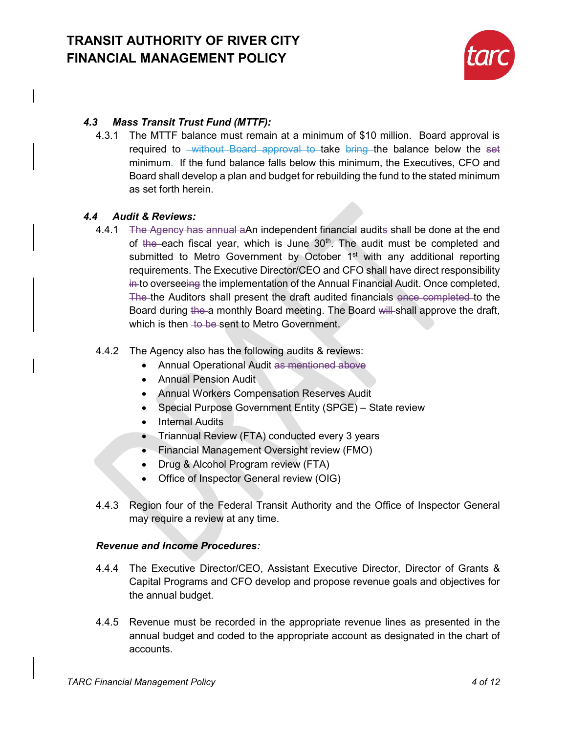

### *4.3 Mass Transit Trust Fund (MTTF):*

4.3.1 The MTTF balance must remain at a minimum of \$10 million. Board approval is required to <del>without Board approval to take bring the balance below the set</del> minimum. If the fund balance falls below this minimum, the Executives, CFO and Board shall develop a plan and budget for rebuilding the fund to the stated minimum as set forth herein.

### *4.4 Audit & Reviews:*

4.4.1 The Agency has annual aAn independent financial audits shall be done at the end of the each fiscal year, which is June 30<sup>th</sup>. The audit must be completed and submitted to Metro Government by October 1<sup>st</sup> with any additional reporting requirements. The Executive Director/CEO and CFO shall have direct responsibility in to overseeing the implementation of the Annual Financial Audit. Once completed, The the Auditors shall present the draft audited financials once completed to the Board during the a monthly Board meeting. The Board will shall approve the draft, which is then to be sent to Metro Government.

### 4.4.2 The Agency also has the following audits & reviews:

- Annual Operational Audit as mentioned above
- Annual Pension Audit
- Annual Workers Compensation Reserves Audit
- Special Purpose Government Entity (SPGE) State review
- Internal Audits
- Triannual Review (FTA) conducted every 3 years
- Financial Management Oversight review (FMO)
- Drug & Alcohol Program review (FTA)
- Office of Inspector General review (OIG)
- 4.4.3 Region four of the Federal Transit Authority and the Office of Inspector General may require a review at any time.

### *Revenue and Income Procedures:*

- 4.4.4 The Executive Director/CEO, Assistant Executive Director, Director of Grants & Capital Programs and CFO develop and propose revenue goals and objectives for the annual budget.
- 4.4.5 Revenue must be recorded in the appropriate revenue lines as presented in the annual budget and coded to the appropriate account as designated in the chart of accounts.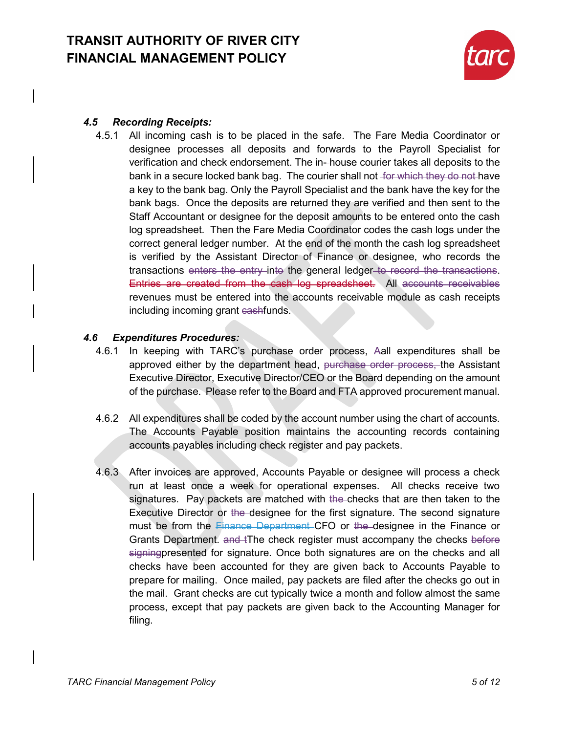

### *4.5 Recording Receipts:*

4.5.1 All incoming cash is to be placed in the safe. The Fare Media Coordinator or designee processes all deposits and forwards to the Payroll Specialist for verification and check endorsement. The in- house courier takes all deposits to the bank in a secure locked bank bag. The courier shall not for which they do not have a key to the bank bag. Only the Payroll Specialist and the bank have the key for the bank bags. Once the deposits are returned they are verified and then sent to the Staff Accountant or designee for the deposit amounts to be entered onto the cash log spreadsheet. Then the Fare Media Coordinator codes the cash logs under the correct general ledger number. At the end of the month the cash log spreadsheet is verified by the Assistant Director of Finance or designee, who records the transactions enters the entry into the general ledger to record the transactions. Entries are created from the cash log spreadsheet. All accounts receivables revenues must be entered into the accounts receivable module as cash receipts including incoming grant cashfunds.

### *4.6 Expenditures Procedures:*

- 4.6.1 In keeping with TARC's purchase order process, Aall expenditures shall be approved either by the department head, purchase order process, the Assistant Executive Director, Executive Director/CEO or the Board depending on the amount of the purchase. Please refer to the Board and FTA approved procurement manual.
- 4.6.2 All expenditures shall be coded by the account number using the chart of accounts. The Accounts Payable position maintains the accounting records containing accounts payables including check register and pay packets.
- 4.6.3 After invoices are approved, Accounts Payable or designee will process a check run at least once a week for operational expenses. All checks receive two signatures. Pay packets are matched with the checks that are then taken to the Executive Director or the designee for the first signature. The second signature must be from the Finance Department CFO or the designee in the Finance or Grants Department. and tThe check register must accompany the checks before signingpresented for signature. Once both signatures are on the checks and all checks have been accounted for they are given back to Accounts Payable to prepare for mailing. Once mailed, pay packets are filed after the checks go out in the mail. Grant checks are cut typically twice a month and follow almost the same process, except that pay packets are given back to the Accounting Manager for filing.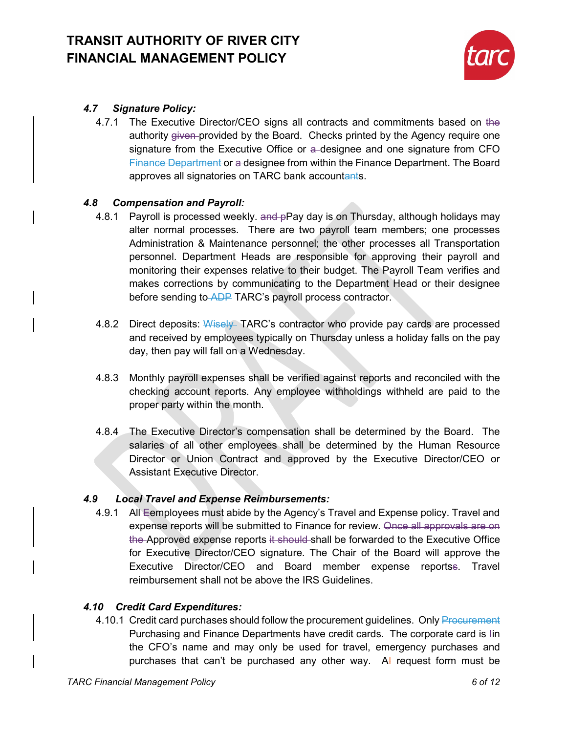

### *4.7 Signature Policy:*

4.7.1 The Executive Director/CEO signs all contracts and commitments based on the authority given-provided by the Board. Checks printed by the Agency require one signature from the Executive Office or a designee and one signature from CFO Finance Department or a designee from within the Finance Department. The Board approves all signatories on TARC bank accountants.

### *4.8 Compensation and Payroll:*

- 4.8.1 Payroll is processed weekly, and pPay day is on Thursday, although holidays may alter normal processes. There are two payroll team members; one processes Administration & Maintenance personnel; the other processes all Transportation personnel. Department Heads are responsible for approving their payroll and monitoring their expenses relative to their budget. The Payroll Team verifies and makes corrections by communicating to the Department Head or their designee before sending to ADP TARC's payroll process contractor.
- 4.8.2 Direct deposits: Wisely TARC's contractor who provide pay cards are processed and received by employees typically on Thursday unless a holiday falls on the pay day, then pay will fall on a Wednesday.
- 4.8.3 Monthly payroll expenses shall be verified against reports and reconciled with the checking account reports. Any employee withholdings withheld are paid to the proper party within the month.
- 4.8.4 The Executive Director's compensation shall be determined by the Board. The salaries of all other employees shall be determined by the Human Resource Director or Union Contract and approved by the Executive Director/CEO or Assistant Executive Director.

### *4.9 Local Travel and Expense Reimbursements:*

4.9.1 All Eemployees must abide by the Agency's Travel and Expense policy. Travel and expense reports will be submitted to Finance for review. Once all approvals are on the Approved expense reports it should shall be forwarded to the Executive Office for Executive Director/CEO signature. The Chair of the Board will approve the Executive Director/CEO and Board member expense reportss. Travel reimbursement shall not be above the IRS Guidelines.

### *4.10 Credit Card Expenditures:*

4.10.1 Credit card purchases should follow the procurement guidelines. Only Procurement Purchasing and Finance Departments have credit cards. The corporate card is Iin the CFO's name and may only be used for travel, emergency purchases and purchases that can't be purchased any other way.  $A$ <sup> $\vdash$ </sup> request form must be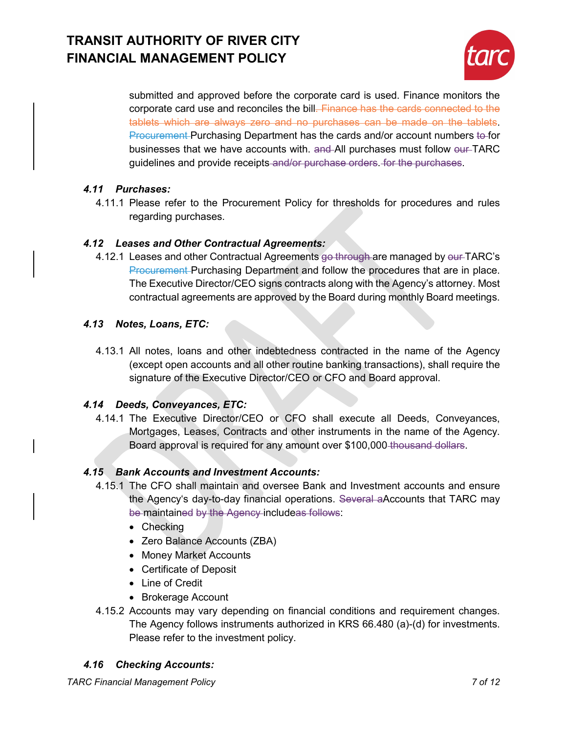

submitted and approved before the corporate card is used. Finance monitors the corporate card use and reconciles the bill. Finance has the cards connected to the tablets which are always zero and no purchases can be made on the tablets. Procurement Purchasing Department has the cards and/or account numbers to for businesses that we have accounts with. and All purchases must follow our TARC guidelines and provide receipts and/or purchase orders. for the purchases.

### *4.11 Purchases:*

4.11.1 Please refer to the Procurement Policy for thresholds for procedures and rules regarding purchases.

### *4.12 Leases and Other Contractual Agreements:*

4.12.1 Leases and other Contractual Agreements go through are managed by our TARC's Procurement Purchasing Department and follow the procedures that are in place. The Executive Director/CEO signs contracts along with the Agency's attorney. Most contractual agreements are approved by the Board during monthly Board meetings.

### *4.13 Notes, Loans, ETC:*

4.13.1 All notes, loans and other indebtedness contracted in the name of the Agency (except open accounts and all other routine banking transactions), shall require the signature of the Executive Director/CEO or CFO and Board approval.

### *4.14 Deeds, Conveyances, ETC:*

4.14.1 The Executive Director/CEO or CFO shall execute all Deeds, Conveyances, Mortgages, Leases, Contracts and other instruments in the name of the Agency. Board approval is required for any amount over \$100,000 thousand dollars.

### *4.15 Bank Accounts and Investment Accounts:*

- 4.15.1 The CFO shall maintain and oversee Bank and Investment accounts and ensure the Agency's day-to-day financial operations. Several aAccounts that TARC may be maintained by the Agency includeas follows:
	- Checking
	- Zero Balance Accounts (ZBA)
	- Money Market Accounts
	- Certificate of Deposit
	- Line of Credit
	- Brokerage Account
- 4.15.2 Accounts may vary depending on financial conditions and requirement changes. The Agency follows instruments authorized in KRS 66.480 (a)-(d) for investments. Please refer to the investment policy.

### *4.16 Checking Accounts:*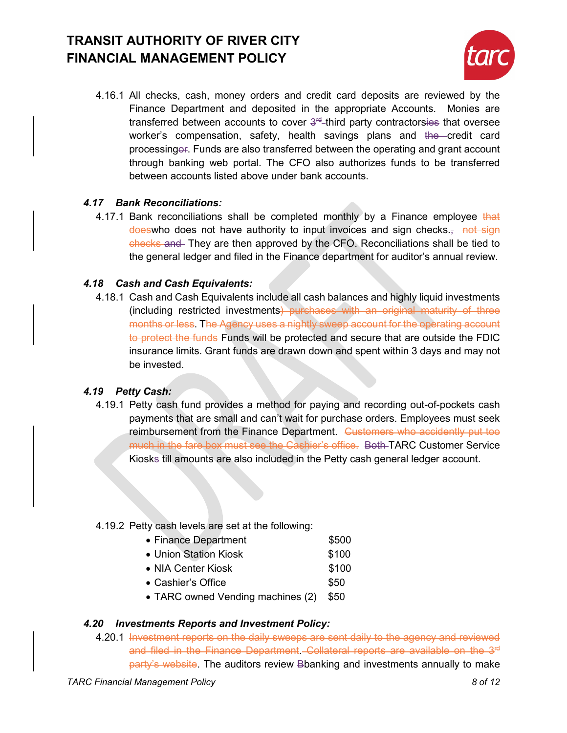

4.16.1 All checks, cash, money orders and credit card deposits are reviewed by the Finance Department and deposited in the appropriate Accounts. Monies are transferred between accounts to cover  $3<sup>rd</sup>$ -third party contractorsies that oversee worker's compensation, safety, health savings plans and the credit card processingor. Funds are also transferred between the operating and grant account through banking web portal. The CFO also authorizes funds to be transferred between accounts listed above under bank accounts.

### *4.17 Bank Reconciliations:*

4.17.1 Bank reconciliations shall be completed monthly by a Finance employee that doeswho does not have authority to input invoices and sign checks. checks and They are then approved by the CFO. Reconciliations shall be tied to the general ledger and filed in the Finance department for auditor's annual review.

### *4.18 Cash and Cash Equivalents:*

4.18.1 Cash and Cash Equivalents include all cash balances and highly liquid investments (including restricted investments) purchases with an original maturity of three months or less. The Agency uses a nightly sweep account for the operating account to protect the funds Funds will be protected and secure that are outside the FDIC insurance limits. Grant funds are drawn down and spent within 3 days and may not be invested.

### *4.19 Petty Cash:*

4.19.1 Petty cash fund provides a method for paying and recording out-of-pockets cash payments that are small and can't wait for purchase orders. Employees must seek reimbursement from the Finance Department. Customers who accidently put too much in the fare box must see the Cashier's office. Both TARC Customer Service Kiosks till amounts are also included in the Petty cash general ledger account.

### 4.19.2 Petty cash levels are set at the following:

- Finance Department \$500
- Union Station Kiosk **\$100**
- NIA Center Kiosk \$100
- Cashier's Office **\$50**
- TARC owned Vending machines (2) \$50

### *4.20 Investments Reports and Investment Policy:*

4.20.1 Investment reports on the daily sweeps are sent daily to the agency and reviewed and filed in the Finance Department - Collateral reports are available on the 3<sup>rd</sup> party's website. The auditors review Bbanking and investments annually to make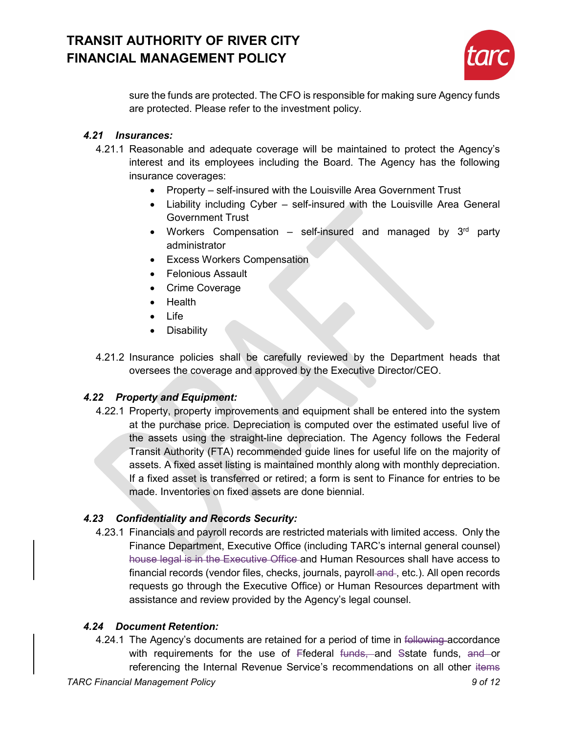

sure the funds are protected. The CFO is responsible for making sure Agency funds are protected. Please refer to the investment policy.

### *4.21 Insurances:*

- 4.21.1 Reasonable and adequate coverage will be maintained to protect the Agency's interest and its employees including the Board. The Agency has the following insurance coverages:
	- Property self-insured with the Louisville Area Government Trust
	- Liability including Cyber self-insured with the Louisville Area General Government Trust
	- Workers Compensation self-insured and managed by  $3<sup>rd</sup>$  party administrator
	- Excess Workers Compensation
	- Felonious Assault
	- Crime Coverage
	- Health
	- Life
	- Disability
- 4.21.2 Insurance policies shall be carefully reviewed by the Department heads that oversees the coverage and approved by the Executive Director/CEO.

### *4.22 Property and Equipment:*

4.22.1 Property, property improvements and equipment shall be entered into the system at the purchase price. Depreciation is computed over the estimated useful live of the assets using the straight-line depreciation. The Agency follows the Federal Transit Authority (FTA) recommended guide lines for useful life on the majority of assets. A fixed asset listing is maintained monthly along with monthly depreciation. If a fixed asset is transferred or retired; a form is sent to Finance for entries to be made. Inventories on fixed assets are done biennial.

### *4.23 Confidentiality and Records Security:*

4.23.1 Financials and payroll records are restricted materials with limited access. Only the Finance Department, Executive Office (including TARC's internal general counsel) house legal is in the Executive Office and Human Resources shall have access to financial records (vendor files, checks, journals, payroll-and-, etc.). All open records requests go through the Executive Office) or Human Resources department with assistance and review provided by the Agency's legal counsel.

### *4.24 Document Retention:*

4.24.1 The Agency's documents are retained for a period of time in following accordance with requirements for the use of Ffederal funds, and Sstate funds, and or referencing the Internal Revenue Service's recommendations on all other items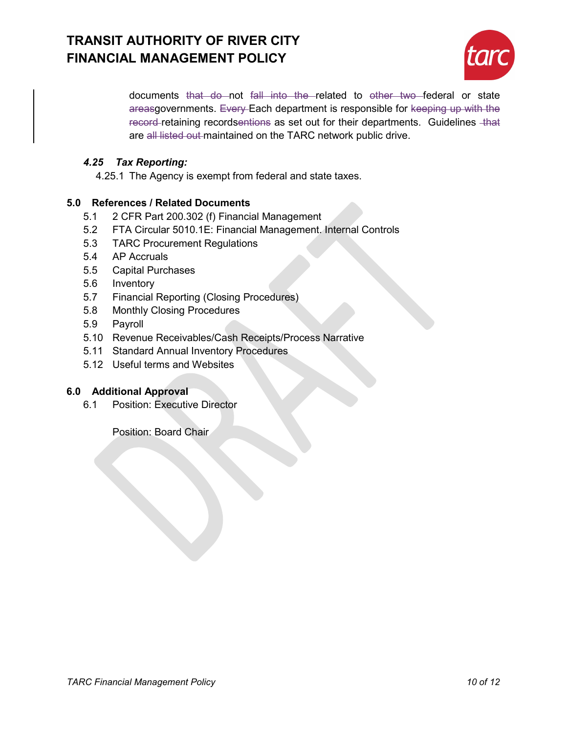

documents that do not fall into the related to other two federal or state areasgovernments. Every Each department is responsible for keeping up with the record retaining recordsentions as set out for their departments. Guidelines that are all listed out maintained on the TARC network public drive.

### *4.25 Tax Reporting:*

4.25.1 The Agency is exempt from federal and state taxes.

### **5.0 References / Related Documents**

- 5.1 2 CFR Part 200.302 (f) Financial Management
- 5.2 FTA Circular 5010.1E: Financial Management. Internal Controls
- 5.3 TARC Procurement Regulations
- 5.4 AP Accruals
- 5.5 Capital Purchases
- 5.6 Inventory
- 5.7 Financial Reporting (Closing Procedures)
- 5.8 Monthly Closing Procedures
- 5.9 Payroll
- 5.10 Revenue Receivables/Cash Receipts/Process Narrative
- 5.11 Standard Annual Inventory Procedures
- 5.12 Useful terms and Websites

### **6.0 Additional Approval**

6.1 Position: Executive Director

Position: Board Chair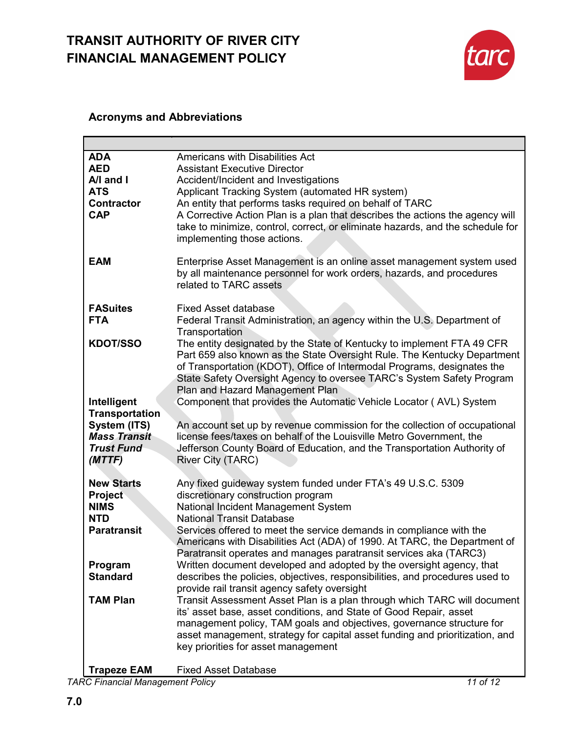

### **Acronyms and Abbreviations**

| <b>ADA</b><br><b>AED</b><br>A/I and I<br><b>ATS</b><br><b>Contractor</b><br><b>CAP</b>            | Americans with Disabilities Act<br><b>Assistant Executive Director</b><br>Accident/Incident and Investigations<br>Applicant Tracking System (automated HR system)<br>An entity that performs tasks required on behalf of TARC<br>A Corrective Action Plan is a plan that describes the actions the agency will<br>take to minimize, control, correct, or eliminate hazards, and the schedule for<br>implementing those actions.                                               |
|---------------------------------------------------------------------------------------------------|-------------------------------------------------------------------------------------------------------------------------------------------------------------------------------------------------------------------------------------------------------------------------------------------------------------------------------------------------------------------------------------------------------------------------------------------------------------------------------|
| <b>EAM</b>                                                                                        | Enterprise Asset Management is an online asset management system used<br>by all maintenance personnel for work orders, hazards, and procedures<br>related to TARC assets                                                                                                                                                                                                                                                                                                      |
| <b>FASuites</b>                                                                                   | <b>Fixed Asset database</b>                                                                                                                                                                                                                                                                                                                                                                                                                                                   |
| <b>FTA</b>                                                                                        | Federal Transit Administration, an agency within the U.S. Department of                                                                                                                                                                                                                                                                                                                                                                                                       |
| <b>KDOT/SSO</b>                                                                                   | Transportation<br>The entity designated by the State of Kentucky to implement FTA 49 CFR<br>Part 659 also known as the State Oversight Rule. The Kentucky Department<br>of Transportation (KDOT), Office of Intermodal Programs, designates the<br>State Safety Oversight Agency to oversee TARC's System Safety Program<br>Plan and Hazard Management Plan                                                                                                                   |
| Intelligent                                                                                       | Component that provides the Automatic Vehicle Locator (AVL) System                                                                                                                                                                                                                                                                                                                                                                                                            |
| <b>Transportation</b>                                                                             |                                                                                                                                                                                                                                                                                                                                                                                                                                                                               |
| System (ITS)                                                                                      | An account set up by revenue commission for the collection of occupational                                                                                                                                                                                                                                                                                                                                                                                                    |
| <b>Mass Transit</b>                                                                               | license fees/taxes on behalf of the Louisville Metro Government, the                                                                                                                                                                                                                                                                                                                                                                                                          |
| <b>Trust Fund</b>                                                                                 | Jefferson County Board of Education, and the Transportation Authority of                                                                                                                                                                                                                                                                                                                                                                                                      |
| (MTTF)                                                                                            | River City (TARC)                                                                                                                                                                                                                                                                                                                                                                                                                                                             |
| <b>New Starts</b><br><b>Project</b><br><b>NIMS</b><br><b>NTD</b><br><b>Paratransit</b><br>Program | Any fixed guideway system funded under FTA's 49 U.S.C. 5309<br>discretionary construction program<br>National Incident Management System<br><b>National Transit Database</b><br>Services offered to meet the service demands in compliance with the<br>Americans with Disabilities Act (ADA) of 1990. At TARC, the Department of<br>Paratransit operates and manages paratransit services aka (TARC3)<br>Written document developed and adopted by the oversight agency, that |
| <b>Standard</b>                                                                                   | describes the policies, objectives, responsibilities, and procedures used to<br>provide rail transit agency safety oversight                                                                                                                                                                                                                                                                                                                                                  |
| <b>TAM Plan</b>                                                                                   | Transit Assessment Asset Plan is a plan through which TARC will document<br>its' asset base, asset conditions, and State of Good Repair, asset<br>management policy, TAM goals and objectives, governance structure for<br>asset management, strategy for capital asset funding and prioritization, and<br>key priorities for asset management                                                                                                                                |

**Trapeze EAM** Fixed Asset Database